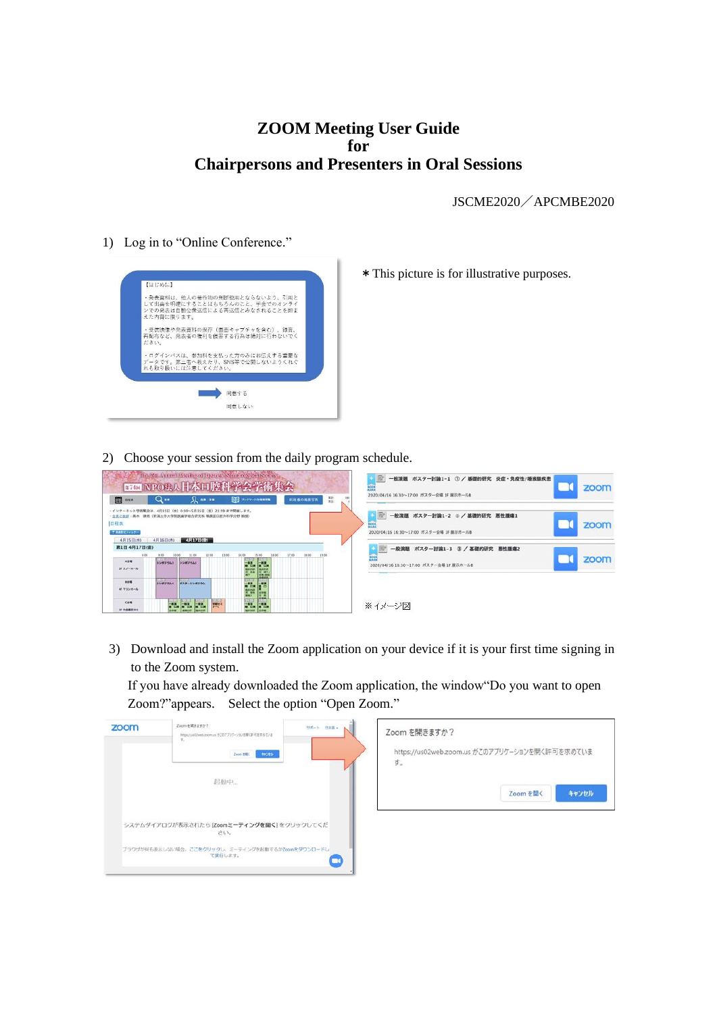# **ZOOM Meeting User Guide for Chairpersons and Presenters in Oral Sessions**

JSCME2020/APCMBE2020

1) Log in to "Online Conference."



\*This picture is for illustrative purposes.

2) Choose your session from the daily program schedule.

| <b>m</b>                                | $Q_{\rm m}$      | $\Omega$ as as                                     | <b>DE JAPANESE</b>                                                 | 蒜<br>新潟番の風景写真 | 380 | 2020/04/16 16:30~17:00 ポスター会場 1F 展示ホール8                                                |
|-----------------------------------------|------------------|----------------------------------------------------|--------------------------------------------------------------------|---------------|-----|----------------------------------------------------------------------------------------|
| ・会長ご抜拶<br>日程表<br>下用あだポジィルター<br>4月15日(水) | 4月16日(木)         | 律贤 (新潟大学大学院医桌学総合研究科 職務並口腔外科学分野 教授<br>4月17日(金)      | 4月15日 (水) 0:00~5月15日 (金) 23:59 まで開催します。                            |               |     | 一般演題 ボスター討論1-2 2 / 基礎的研究 悪性腫瘍1<br>zoom<br>m<br>2020/04/16 16:30~17:00 ポスター会場 1F 展示ホール8 |
| 第1日 4月17日(金)<br>800<br>人名英              | $+00$<br>10:00   | 11:00<br>12.00                                     |                                                                    | 18.00         |     | 一般演題 ボスター討論1-3 3 / 基礎的研究 悪性腫瘍2<br>zoom<br>m                                            |
| 以スノーホール                                 | シンボジウム1          | シンボジウム5                                            | <b>FB</b>                                                          |               |     | 2020/04/16 16:30~17:00 ポスター会場 IF 展示ホール8                                                |
| 80%<br>45 マリンホール                        | 15.13<br>シンボジウム4 | <b>LUXUR</b><br>ポスターシンボジウム                         | F.<br>ж.<br>m<br>m                                                 |               |     |                                                                                        |
| 000<br>H 中全国T101                        |                  | <b>Form</b><br>Fra.<br><b>A</b> ARPLINE<br>Impound | <b>For</b><br><b>PARTS</b><br>man<br><b>BURIDER</b><br><b>HINK</b> |               |     | ※イメージ図                                                                                 |

3) Download and install the Zoom application on your device if it is your first time signing in to the Zoom system.

If you have already downloaded the Zoom application, the window"Do you want to open Zoom?"appears. Select the option "Open Zoom."

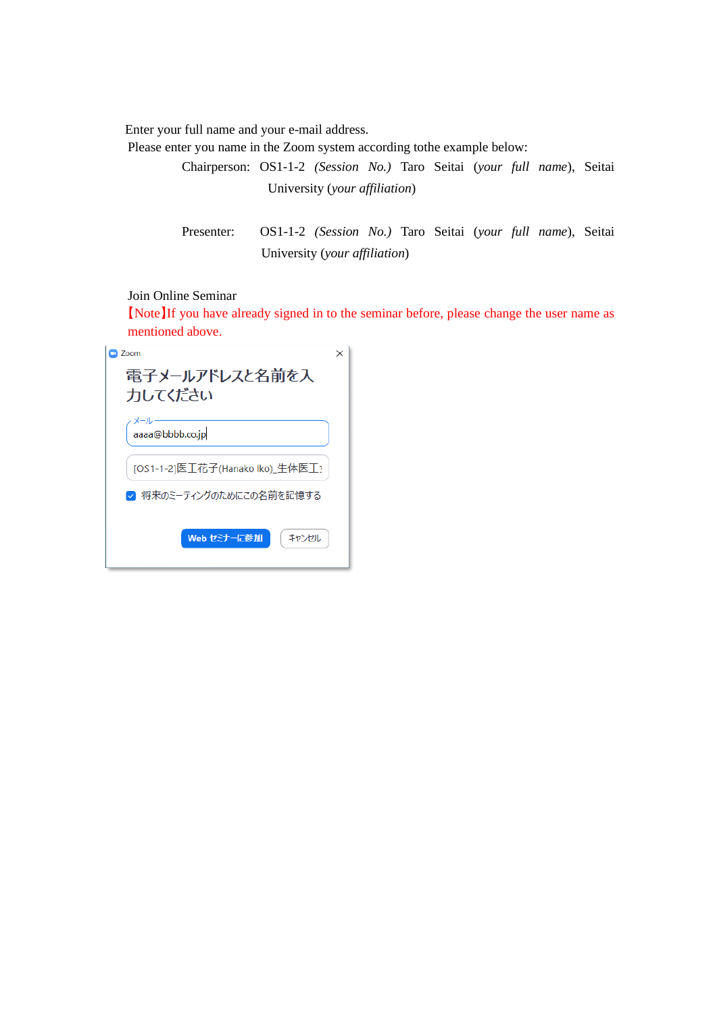Enter your full name and your e-mail address.

Please enter you name in the Zoom system according tothe example below:

Chairperson: OS1-1-2 *(Session No.)* Taro Seitai (*your full name*), Seitai University (*your affiliation*)

Presenter: OS1-1-2 *(Session No.)* Taro Seitai (*your full name*), Seitai University (*your affiliation*)

## Join Online Seminar

【Note】If you have already signed in to the seminar before, please change the user name as mentioned above.

| 7oom                            |  |
|---------------------------------|--|
| 電子メールアドレスと名前を入<br>力してください       |  |
| aaaa@bbbb.co.jp                 |  |
| [OS1-1-2]医工花子(Hanako Iko)_生体医工? |  |
| ✔ 将来のミーティングのためにこの名前を記憶する        |  |
| Web セミナーに参加<br>キャンセル            |  |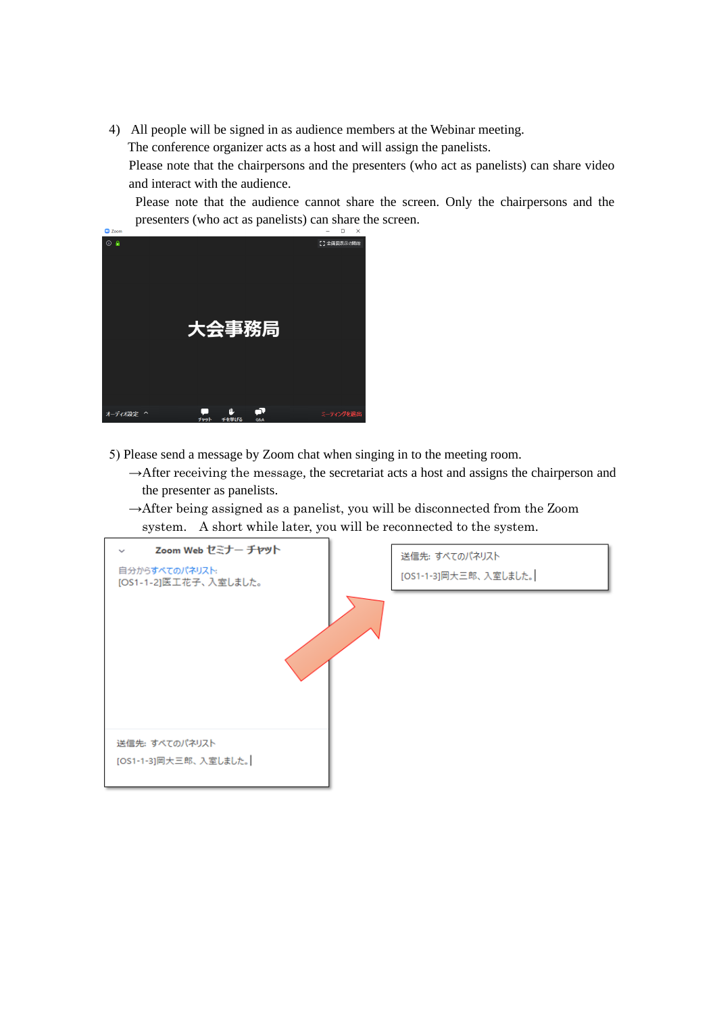4) All people will be signed in as audience members at the Webinar meeting.

The conference organizer acts as a host and will assign the panelists.

Please note that the chairpersons and the presenters (who act as panelists) can share video and interact with the audience.

Please note that the audience cannot share the screen. Only the chairpersons and the presenters (who act as panelists) can share the screen.



- 5) Please send a message by Zoom chat when singing in to the meeting room.
	- $\rightarrow$ After receiving the message, the secretariat acts a host and assigns the chairperson and the presenter as panelists.
	- $\rightarrow$ After being assigned as a panelist, you will be disconnected from the Zoom system. A short while later, you will be reconnected to the system.

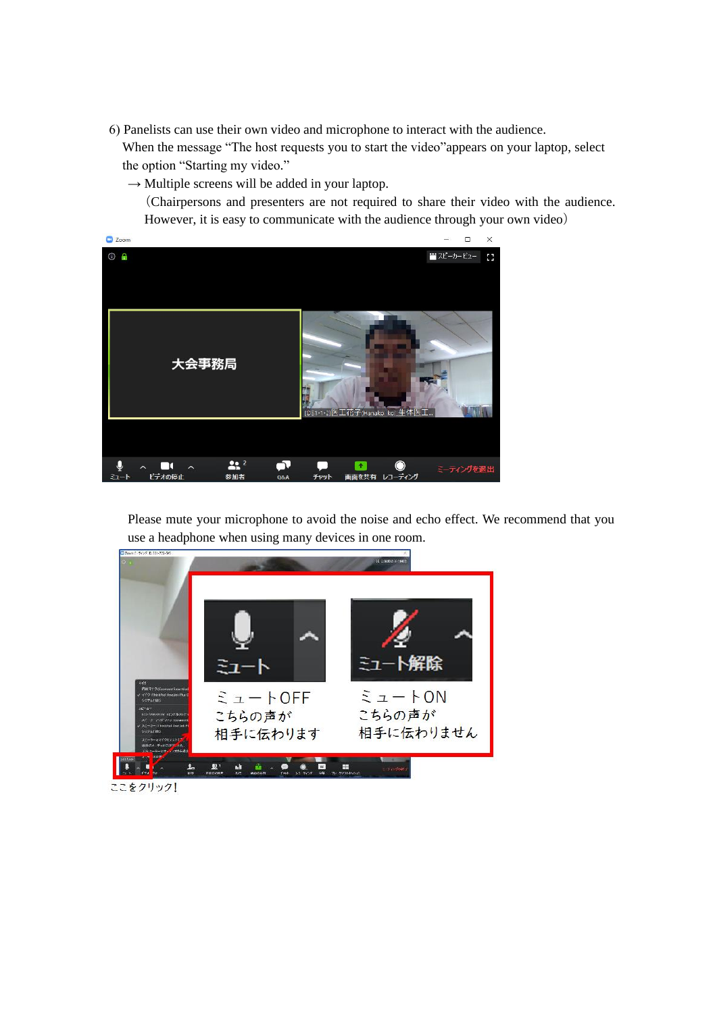6) Panelists can use their own video and microphone to interact with the audience.

 When the message "The host requests you to start the video"appears on your laptop, select the option "Starting my video."

 $\rightarrow$  Multiple screens will be added in your laptop.

(Chairpersons and presenters are not required to share their video with the audience. However, it is easy to communicate with the audience through your own video)



Please mute your microphone to avoid the noise and echo effect. We recommend that you use a headphone when using many devices in one room.



ここをクリック!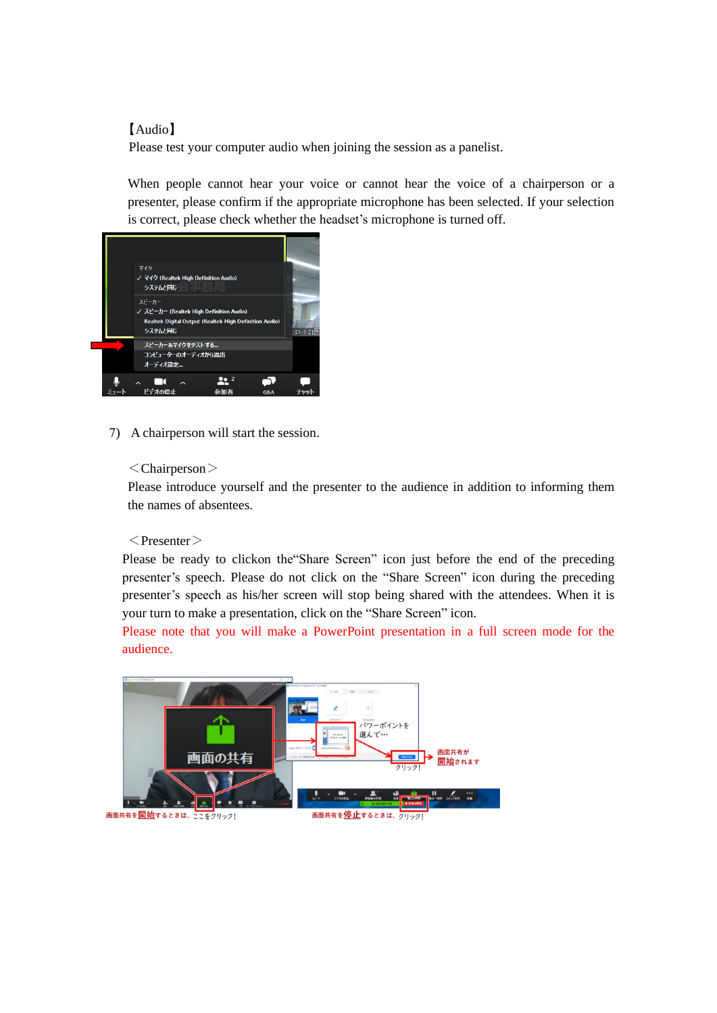### 【Audio】

Please test your computer audio when joining the session as a panelist.

When people cannot hear your voice or cannot hear the voice of a chairperson or a presenter, please confirm if the appropriate microphone has been selected. If your selection is correct, please check whether the headset's microphone is turned off.



7) A chairperson will start the session.

#### <Chairperson>

Please introduce yourself and the presenter to the audience in addition to informing them the names of absentees.

#### $<$ Presenter $>$

Please be ready to clickon the"Share Screen" icon just before the end of the preceding presenter's speech. Please do not click on the "Share Screen" icon during the preceding presenter's speech as his/her screen will stop being shared with the attendees. When it is your turn to make a presentation, click on the "Share Screen" icon.

Please note that you will make a PowerPoint presentation in a full screen mode for the audience.

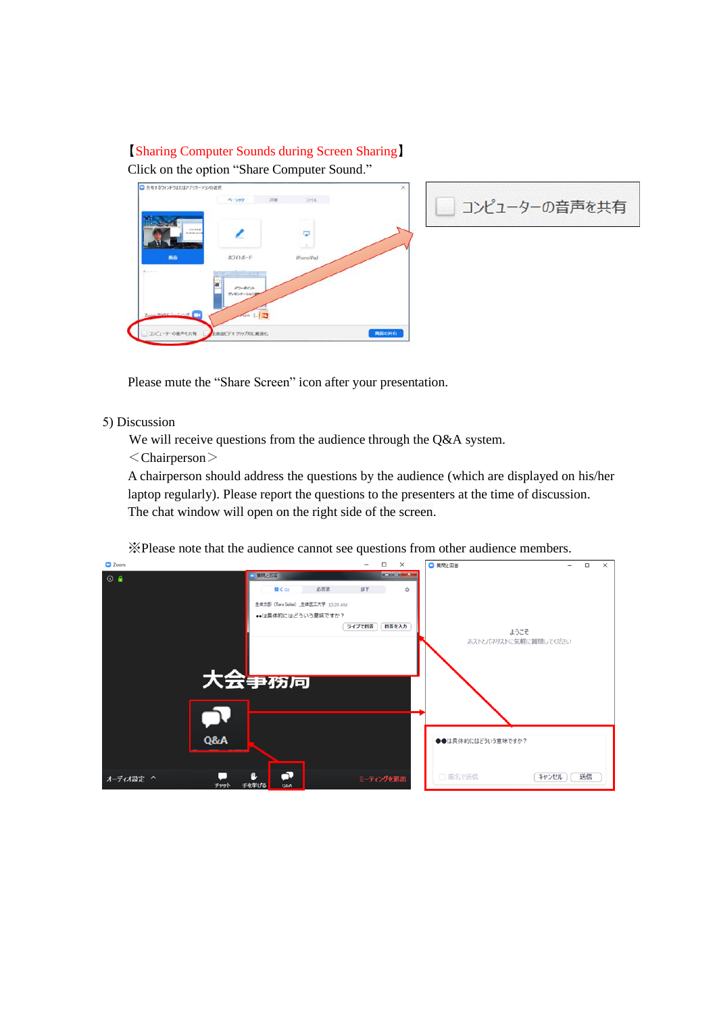# 【Sharing Computer Sounds during Screen Sharing】 Click on the option "Share Computer Sound."





Please mute the "Share Screen" icon after your presentation.

## 5) Discussion

We will receive questions from the audience through the Q&A system.

<Chairperson>

A chairperson should address the questions by the audience (which are displayed on his/her laptop regularly). Please report the questions to the presenters at the time of discussion. The chat window will open on the right side of the screen.

※Please note that the audience cannot see questions from other audience members.